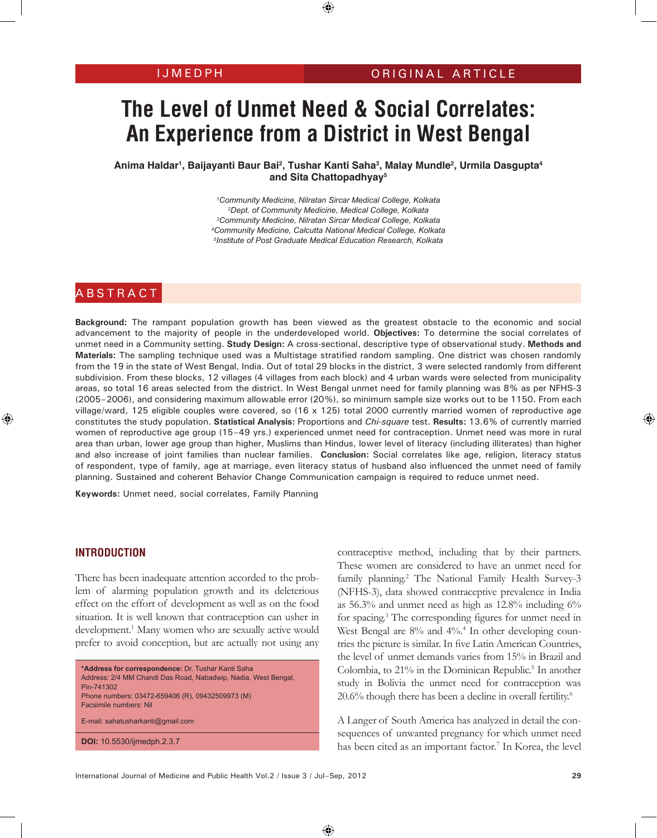# **The Level of Unmet Need & Social Correlates: An Experience from a District in West Bengal**

**Anima Haldar1 , Baijayanti Baur Bai2 , Tushar Kanti Saha3 , Malay Mundle2 , Urmila Dasgupta4 and Sita Chattopadhyay5**

> *Community Medicine, Nilratan Sircar Medical College, Kolkata Dept. of Community Medicine, Medical College, Kolkata Community Medicine, Nilratan Sircar Medical College, Kolkata Community Medicine, Calcutta National Medical College, Kolkata Institute of Post Graduate Medical Education Research, Kolkata*

# ABSTRACT

**Background:** The rampant population growth has been viewed as the greatest obstacle to the economic and social advancement to the majority of people in the underdeveloped world. **Objectives:** To determine the social correlates of unmet need in a Community setting. **Study Design:** A cross-sectional, descriptive type of observational study. **Methods and Materials:** The sampling technique used was a Multistage stratified random sampling. One district was chosen randomly from the 19 in the state of West Bengal, India. Out of total 29 blocks in the district, 3 were selected randomly from different subdivision. From these blocks, 12 villages (4 villages from each block) and 4 urban wards were selected from municipality areas, so total 16 areas selected from the district. In West Bengal unmet need for family planning was 8% as per NFHS-3 (2005–2006), and considering maximum allowable error (20%), so minimum sample size works out to be 1150. From each village/ward, 125 eligible couples were covered, so (16 x 125) total 2000 currently married women of reproductive age constitutes the study population. **Statistical Analysis:** Proportions and *Chi-square* test. **Results:** 13.6% of currently married women of reproductive age group (15–49 yrs.) experienced unmet need for contraception. Unmet need was more in rural area than urban, lower age group than higher, Muslims than Hindus, lower level of literacy (including illiterates) than higher and also increase of joint families than nuclear families. **Conclusion:** Social correlates like age, religion, literacy status of respondent, type of family, age at marriage, even literacy status of husband also influenced the unmet need of family planning. Sustained and coherent Behavior Change Communication campaign is required to reduce unmet need.

**Keywords:** Unmet need, social correlates, Family Planning

#### **INTRODUCTION**

There has been inadequate attention accorded to the problem of alarming population growth and its deleterious effect on the effort of development as well as on the food situation. It is well known that contraception can usher in development.<sup>1</sup> Many women who are sexually active would prefer to avoid conception, but are actually not using any

```
*Address for correspondence: Dr. Tushar Kanti Saha 
Address: 2/4 MM Chandi Das Road, Nabadwip, Nadia, West Bengal, 
Pin-741302 
Phone numbers: 03472-659406 (R), 09432509973 (M) 
Facsimile numbers: Nil 
E-mail: sahatusharkanti@gmail.com
DOI: 10.5530/ijmedph.2.3.7
```
contraceptive method, including that by their partners. These women are considered to have an unmet need for family planning.<sup>2</sup> The National Family Health Survey-3 (NFHS-3), data showed contraceptive prevalence in India as 56.3% and unmet need as high as 12.8% including 6% for spacing.3 The corresponding figures for unmet need in West Bengal are 8% and 4%.<sup>4</sup> In other developing countries the picture is similar. In five Latin American Countries, the level of unmet demands varies from 15% in Brazil and Colombia, to 21% in the Dominican Republic.<sup>5</sup> In another study in Bolivia the unmet need for contraception was 20.6% though there has been a decline in overall fertility.<sup>6</sup>

A Langer of South America has analyzed in detail the consequences of unwanted pregnancy for which unmet need has been cited as an important factor.<sup>7</sup> In Korea, the level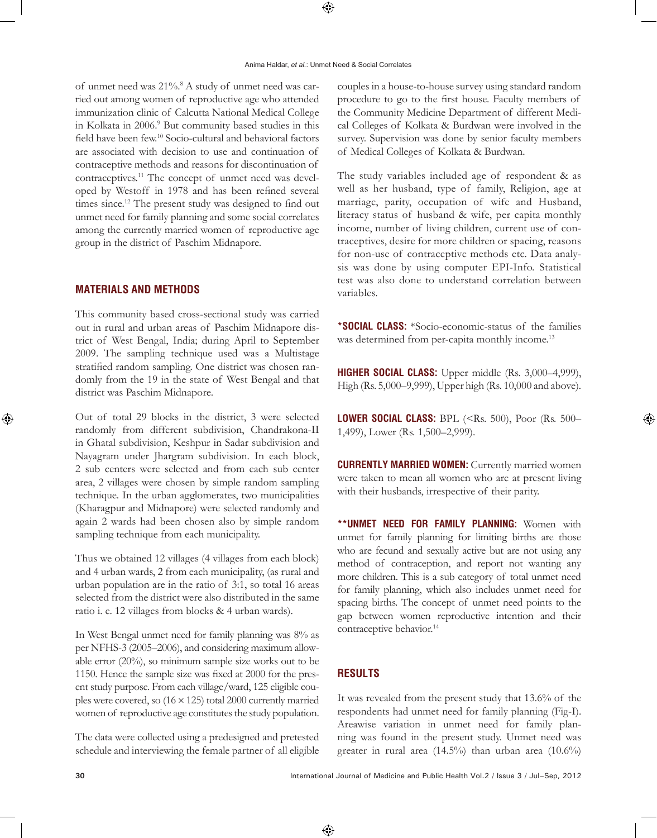of unmet need was 21%.<sup>8</sup> A study of unmet need was carried out among women of reproductive age who attended immunization clinic of Calcutta National Medical College in Kolkata in 2006.<sup>9</sup> But community based studies in this field have been few.10 Socio-cultural and behavioral factors are associated with decision to use and continuation of contraceptive methods and reasons for discontinuation of contraceptives.11 The concept of unmet need was developed by Westoff in 1978 and has been refined several times since.<sup>12</sup> The present study was designed to find out unmet need for family planning and some social correlates among the currently married women of reproductive age group in the district of Paschim Midnapore.

## **MATERIALS AND METHODS**

This community based cross-sectional study was carried out in rural and urban areas of Paschim Midnapore district of West Bengal, India; during April to September 2009. The sampling technique used was a Multistage stratified random sampling. One district was chosen randomly from the 19 in the state of West Bengal and that district was Paschim Midnapore.

Out of total 29 blocks in the district, 3 were selected randomly from different subdivision, Chandrakona-II in Ghatal subdivision, Keshpur in Sadar subdivision and Nayagram under Jhargram subdivision. In each block, 2 sub centers were selected and from each sub center area, 2 villages were chosen by simple random sampling technique. In the urban agglomerates, two municipalities (Kharagpur and Midnapore) were selected randomly and again 2 wards had been chosen also by simple random sampling technique from each municipality.

Thus we obtained 12 villages (4 villages from each block) and 4 urban wards, 2 from each municipality, (as rural and urban population are in the ratio of 3:1, so total 16 areas selected from the district were also distributed in the same ratio i. e. 12 villages from blocks & 4 urban wards).

In West Bengal unmet need for family planning was 8% as per NFHS-3 (2005–2006), and considering maximum allowable error (20%), so minimum sample size works out to be 1150. Hence the sample size was fixed at 2000 for the present study purpose. From each village/ward, 125 eligible couples were covered, so (16 × 125) total 2000 currently married women of reproductive age constitutes the study population.

The data were collected using a predesigned and pretested schedule and interviewing the female partner of all eligible couples in a house-to-house survey using standard random procedure to go to the first house. Faculty members of the Community Medicine Department of different Medical Colleges of Kolkata & Burdwan were involved in the survey. Supervision was done by senior faculty members of Medical Colleges of Kolkata & Burdwan.

The study variables included age of respondent & as well as her husband, type of family, Religion, age at marriage, parity, occupation of wife and Husband, literacy status of husband & wife, per capita monthly income, number of living children, current use of contraceptives, desire for more children or spacing, reasons for non-use of contraceptive methods etc. Data analysis was done by using computer EPI-Info. Statistical test was also done to understand correlation between variables.

**\*SOCIAL CLASS:** \*Socio-economic-status of the families was determined from per-capita monthly income.<sup>13</sup>

**HIGHER SOCIAL CLASS:** Upper middle (Rs. 3,000–4,999), High (Rs. 5,000–9,999), Upper high (Rs. 10,000 and above).

**LOWER SOCIAL CLASS: BPL (<Rs. 500), Poor (Rs. 500–** 1,499), Lower (Rs. 1,500–2,999).

**CURRENTLY MARRIED WOMEN:** Currently married women were taken to mean all women who are at present living with their husbands, irrespective of their parity.

**\*\*UNMET NEED FOR FAMILY PLANNING:** Women with unmet for family planning for limiting births are those who are fecund and sexually active but are not using any method of contraception, and report not wanting any more children. This is a sub category of total unmet need for family planning, which also includes unmet need for spacing births. The concept of unmet need points to the gap between women reproductive intention and their contraceptive behavior.<sup>14</sup>

## **RESULTS**

It was revealed from the present study that 13.6% of the respondents had unmet need for family planning (Fig-I). Areawise variation in unmet need for family planning was found in the present study. Unmet need was greater in rural area (14.5%) than urban area (10.6%)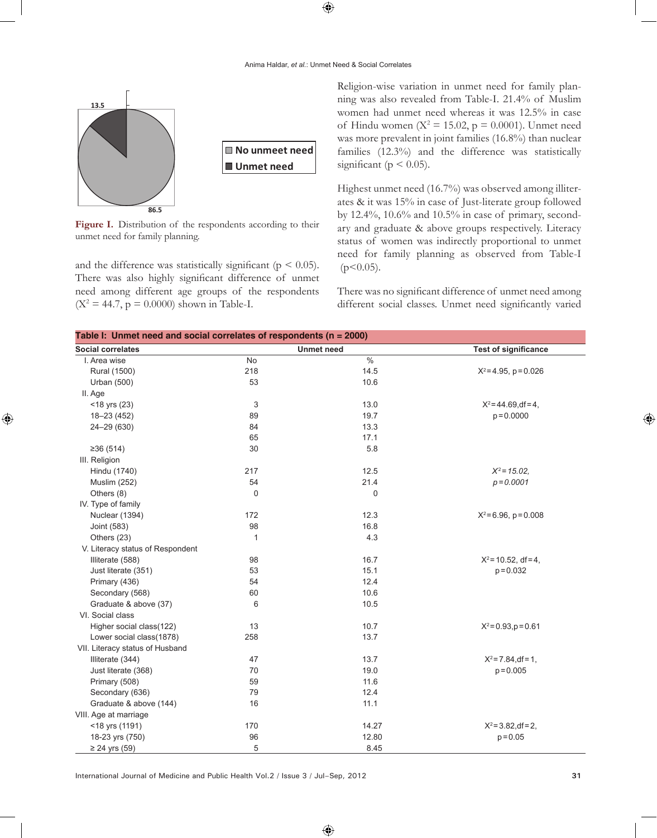

Figure I. Distribution of the respondents according to their unmet need for family planning.

and the difference was statistically significant ( $p < 0.05$ ). There was also highly significant difference of unmet need among different age groups of the respondents  $(X^2 = 44.7, p = 0.0000)$  shown in Table-I.

Religion-wise variation in unmet need for family planning was also revealed from Table-I. 21.4% of Muslim women had unmet need whereas it was 12.5% in case of Hindu women ( $X^2 = 15.02$ ,  $p = 0.0001$ ). Unmet need was more prevalent in joint families (16.8%) than nuclear families (12.3%) and the difference was statistically significant ( $p < 0.05$ ).

Highest unmet need (16.7%) was observed among illiterates & it was 15% in case of Just-literate group followed by 12.4%, 10.6% and 10.5% in case of primary, secondary and graduate & above groups respectively. Literacy status of women was indirectly proportional to unmet need for family planning as observed from Table-I  $(p<0.05)$ .

There was no significant difference of unmet need among different social classes. Unmet need significantly varied

| Table I: Unmet need and social correlates of respondents ( $n = 2000$ ) |                   |       |                             |
|-------------------------------------------------------------------------|-------------------|-------|-----------------------------|
| <b>Social correlates</b>                                                | <b>Unmet need</b> |       | <b>Test of significance</b> |
| I. Area wise                                                            | No                | $\%$  |                             |
| Rural (1500)                                                            | 218               | 14.5  | $X^2 = 4.95$ , p = 0.026    |
| <b>Urban (500)</b>                                                      | 53                | 10.6  |                             |
| II. Age                                                                 |                   |       |                             |
| $<$ 18 yrs (23)                                                         | 3                 | 13.0  | $X^2 = 44.69$ , df = 4,     |
| 18-23 (452)                                                             | 89                | 19.7  | $p = 0.0000$                |
| 24-29 (630)                                                             | 84                | 13.3  |                             |
|                                                                         | 65                | 17.1  |                             |
| ≥36(514)                                                                | 30                | 5.8   |                             |
| III. Religion                                                           |                   |       |                             |
| Hindu (1740)                                                            | 217               | 12.5  | $X^2 = 15.02$               |
| <b>Muslim (252)</b>                                                     | 54                | 21.4  | $p = 0.0001$                |
| Others (8)                                                              | 0                 | 0     |                             |
| IV. Type of family                                                      |                   |       |                             |
| Nuclear (1394)                                                          | 172               | 12.3  | $X^2$ = 6.96, p = 0.008     |
| Joint (583)                                                             | 98                | 16.8  |                             |
| Others (23)                                                             | 1                 | 4.3   |                             |
| V. Literacy status of Respondent                                        |                   |       |                             |
| Illiterate (588)                                                        | 98                | 16.7  | $X^2$ = 10.52, df = 4,      |
| Just literate (351)                                                     | 53                | 15.1  | $p = 0.032$                 |
| Primary (436)                                                           | 54                | 12.4  |                             |
| Secondary (568)                                                         | 60                | 10.6  |                             |
| Graduate & above (37)                                                   | 6                 | 10.5  |                             |
| VI. Social class                                                        |                   |       |                             |
| Higher social class(122)                                                | 13                | 10.7  | $X^2 = 0.93$ , $p = 0.61$   |
| Lower social class(1878)                                                | 258               | 13.7  |                             |
| VII. Literacy status of Husband                                         |                   |       |                             |
| Illiterate (344)                                                        | 47                | 13.7  | $X^2 = 7.84$ , df = 1,      |
| Just literate (368)                                                     | 70                | 19.0  | $p = 0.005$                 |
| Primary (508)                                                           | 59                | 11.6  |                             |
| Secondary (636)                                                         | 79                | 12.4  |                             |
| Graduate & above (144)                                                  | 16                | 11.1  |                             |
| VIII. Age at marriage                                                   |                   |       |                             |
| <18 yrs (1191)                                                          | 170               | 14.27 | $X^2 = 3.82$ , df = 2,      |
| 18-23 yrs (750)                                                         | 96                | 12.80 | $p = 0.05$                  |
| $≥ 24$ yrs (59)                                                         | 5                 | 8.45  |                             |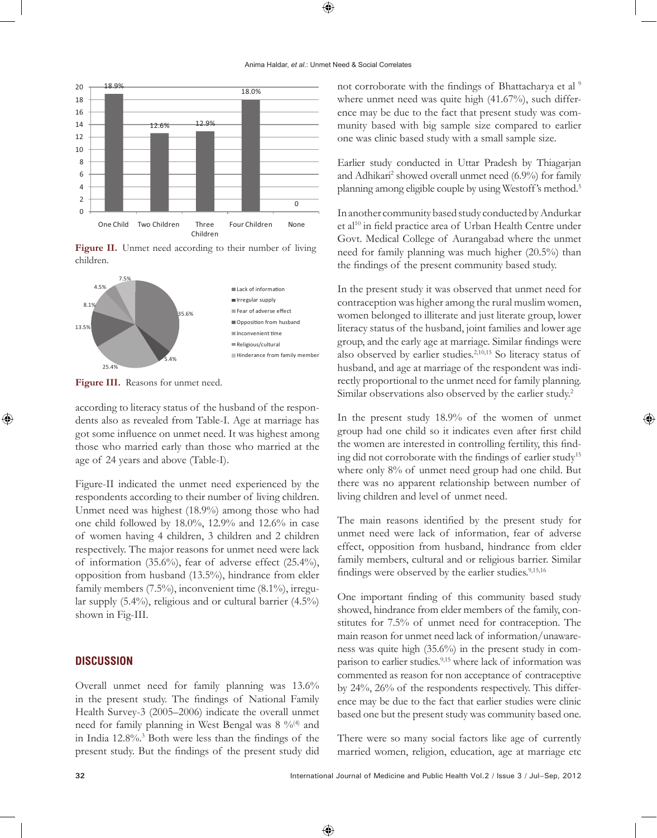

Figure II. Unmet need according to their number of living children.



Figure III. Reasons for unmet need.

according to literacy status of the husband of the respondents also as revealed from Table-I. Age at marriage has got some influence on unmet need. It was highest among those who married early than those who married at the age of 24 years and above (Table-I).

Figure-II indicated the unmet need experienced by the respondents according to their number of living children. Unmet need was highest (18.9%) among those who had one child followed by 18.0%, 12.9% and 12.6% in case of women having 4 children, 3 children and 2 children respectively. The major reasons for unmet need were lack of information (35.6%), fear of adverse effect (25.4%), opposition from husband (13.5%), hindrance from elder family members (7.5%), inconvenient time (8.1%), irregular supply (5.4%), religious and or cultural barrier (4.5%) shown in Fig-III.

#### **DISCUSSION**

Overall unmet need for family planning was 13.6% in the present study. The findings of National Family Health Survey-3 (2005–2006) indicate the overall unmet need for family planning in West Bengal was 8 %<sup>(4)</sup> and in India 12.8%.3 Both were less than the findings of the present study. But the findings of the present study did

not corroborate with the findings of Bhattacharya et al<sup>9</sup> where unmet need was quite high (41.67%), such difference may be due to the fact that present study was community based with big sample size compared to earlier one was clinic based study with a small sample size.

Earlier study conducted in Uttar Pradesh by Thiagarjan and Adhikari<sup>2</sup> showed overall unmet need (6.9%) for family planning among eligible couple by using Westoff's method.5

In another community based study conducted by Andurkar et al<sup>10</sup> in field practice area of Urban Health Centre under Govt. Medical College of Aurangabad where the unmet need for family planning was much higher (20.5%) than the findings of the present community based study.

In the present study it was observed that unmet need for contraception was higher among the rural muslim women, women belonged to illiterate and just literate group, lower literacy status of the husband, joint families and lower age group, and the early age at marriage. Similar findings were also observed by earlier studies.2,10,15 So literacy status of husband, and age at marriage of the respondent was indirectly proportional to the unmet need for family planning. Similar observations also observed by the earlier study.<sup>2</sup>

In the present study 18.9% of the women of unmet group had one child so it indicates even after first child the women are interested in controlling fertility, this finding did not corroborate with the findings of earlier study<sup>15</sup> where only 8% of unmet need group had one child. But there was no apparent relationship between number of living children and level of unmet need.

The main reasons identified by the present study for unmet need were lack of information, fear of adverse effect, opposition from husband, hindrance from elder family members, cultural and or religious barrier. Similar findings were observed by the earlier studies.<sup>9,15,16</sup>

One important finding of this community based study showed, hindrance from elder members of the family, constitutes for 7.5% of unmet need for contraception. The main reason for unmet need lack of information/unawareness was quite high (35.6%) in the present study in comparison to earlier studies.9,15 where lack of information was commented as reason for non acceptance of contraceptive by 24%, 26% of the respondents respectively. This difference may be due to the fact that earlier studies were clinic based one but the present study was community based one.

There were so many social factors like age of currently married women, religion, education, age at marriage etc